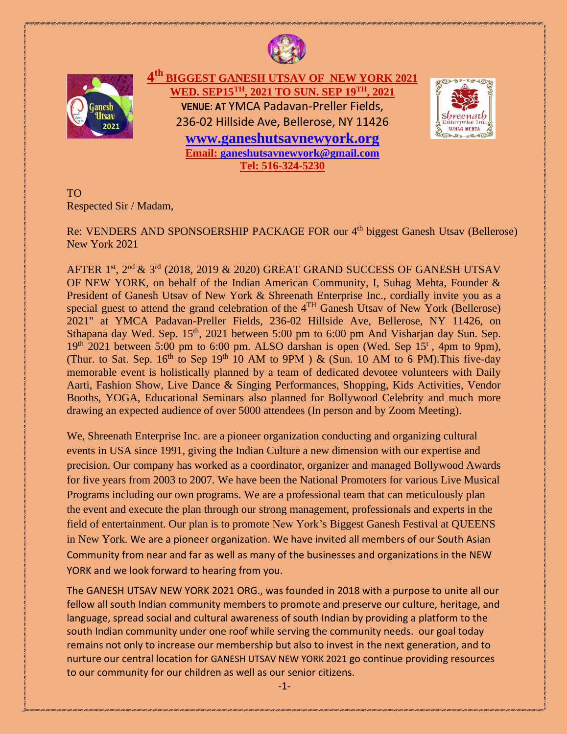

j.



**4 th BIGGEST GANESH UTSAV OF NEW YORK 2021 WED. SEP15TH, 2021 TO SUN. SEP 19TH, 2021 VENUE: AT** YMCA Padavan-Preller Fields, 236-02 Hillside Ave, Bellerose, NY 11426 **[www.ganeshutsavnewyork.org](http://www.ganeshutsavnewyork.org/)** 

> **Email: [ganeshutsavnewyork@gmail.com](mailto:ganeshutsavnewyork@gmail.com)  Tel: 516-324-5230**



TO Respected Sir / Madam,

Re: VENDERS AND SPONSOERSHIP PACKAGE FOR our 4<sup>th</sup> biggest Ganesh Utsav (Bellerose) New York 2021

AFTER  $1^{\text{st}}$ ,  $2^{\text{nd}}$  &  $3^{\text{rd}}$  (2018, 2019 & 2020) GREAT GRAND SUCCESS OF GANESH UTSAV OF NEW YORK, on behalf of the Indian American Community, I, Suhag Mehta, Founder & President of Ganesh Utsav of New York & Shreenath Enterprise Inc., cordially invite you as a special guest to attend the grand celebration of the 4<sup>TH</sup> Ganesh Utsav of New York (Bellerose) 2021" at YMCA Padavan-Preller Fields, 236-02 Hillside Ave, Bellerose, NY 11426, on Sthapana day Wed. Sep. 15<sup>th</sup>, 2021 between 5:00 pm to 6:00 pm And Visharjan day Sun. Sep.  $19<sup>th</sup> 2021$  between 5:00 pm to 6:00 pm. ALSO darshan is open (Wed. Sep 15<sup>t</sup>, 4pm to 9pm), (Thur. to Sat. Sep.  $16^{th}$  to Sep 19<sup>th</sup> 10 AM to 9PM ) & (Sun. 10 AM to 6 PM). This five-day memorable event is holistically planned by a team of dedicated devotee volunteers with Daily Aarti, Fashion Show, Live Dance & Singing Performances, Shopping, Kids Activities, Vendor Booths, YOGA, Educational Seminars also planned for Bollywood Celebrity and much more drawing an expected audience of over 5000 attendees (In person and by Zoom Meeting).

We, Shreenath Enterprise Inc. are a pioneer organization conducting and organizing cultural events in USA since 1991, giving the Indian Culture a new dimension with our expertise and precision. Our company has worked as a coordinator, organizer and managed Bollywood Awards for five years from 2003 to 2007. We have been the National Promoters for various Live Musical Programs including our own programs. We are a professional team that can meticulously plan the event and execute the plan through our strong management, professionals and experts in the field of entertainment. Our plan is to promote New York's Biggest Ganesh Festival at QUEENS in New York. We are a pioneer organization. We have invited all members of our South Asian Community from near and far as well as many of the businesses and organizations in the NEW YORK and we look forward to hearing from you.

The GANESH UTSAV NEW YORK 2021 ORG., was founded in 2018 with a purpose to unite all our fellow all south Indian community members to promote and preserve our culture, heritage, and language, spread social and cultural awareness of south Indian by providing a platform to the south Indian community under one roof while serving the community needs. our goal today remains not only to increase our membership but also to invest in the next generation, and to nurture our central location for GANESH UTSAV NEW YORK 2021 go continue providing resources to our community for our children as well as our senior citizens.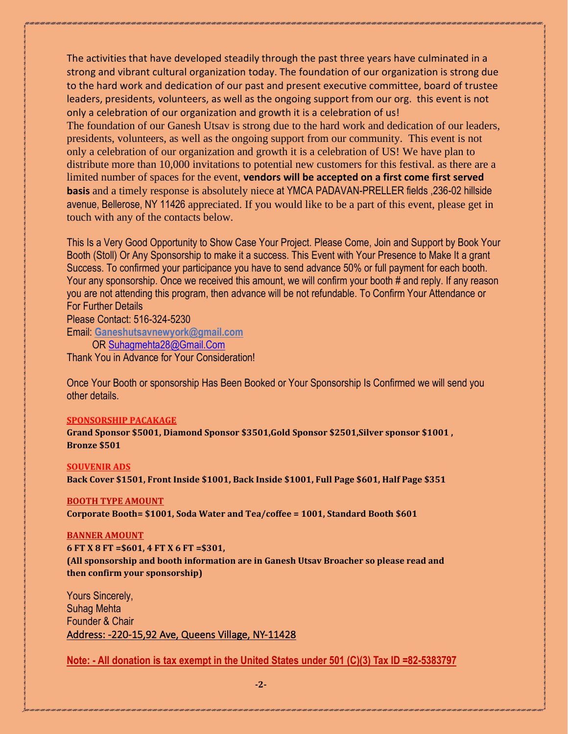The activities that have developed steadily through the past three years have culminated in a strong and vibrant cultural organization today. The foundation of our organization is strong due to the hard work and dedication of our past and present executive committee, board of trustee leaders, presidents, volunteers, as well as the ongoing support from our org. this event is not only a celebration of our organization and growth it is a celebration of us! The foundation of our Ganesh Utsav is strong due to the hard work and dedication of our leaders, presidents, volunteers, as well as the ongoing support from our community. This event is not only a celebration of our organization and growth it is a celebration of US! We have plan to distribute more than 10,000 invitations to potential new customers for this festival. as there are a limited number of spaces for the event, **vendors will be accepted on a first come first served basis** and a timely response is absolutely niece at YMCA PADAVAN-PRELLER fields ,236-02 hillside avenue, Bellerose, NY 11426 appreciated. If you would like to be a part of this event, please get in touch with any of the contacts below.

This Is a Very Good Opportunity to Show Case Your Project. Please Come, Join and Support by Book Your Booth (Stoll) Or Any Sponsorship to make it a success. This Event with Your Presence to Make It a grant Success. To confirmed your participance you have to send advance 50% or full payment for each booth. Your any sponsorship. Once we received this amount, we will confirm your booth # and reply. If any reason you are not attending this program, then advance will be not refundable. To Confirm Your Attendance or For Further Details

Please Contact: 516-324-5230

Email: **Ganeshutsavnewyork@gmail.com**

OR [Suhagmehta28@Gmail.Com](mailto:Suhagmehta28@Gmail.Com) 

Thank You in Advance for Your Consideration!

Once Your Booth or sponsorship Has Been Booked or Your Sponsorship Is Confirmed we will send you other details.

### **SPONSORSHIP PACAKAGE**

**Grand Sponsor \$5001, Diamond Sponsor \$3501,Gold Sponsor \$2501,Silver sponsor \$1001 , Bronze \$501** 

### **SOUVENIR ADS**

**Back Cover \$1501, Front Inside \$1001, Back Inside \$1001, Full Page \$601, Half Page \$351**

### **BOOTH TYPE AMOUNT**

**Corporate Booth= \$1001, Soda Water and Tea/coffee = 1001, Standard Booth \$601** 

### **BANNER AMOUNT**

**6 FT X 8 FT =\$601, 4 FT X 6 FT =\$301, (All sponsorship and booth information are in Ganesh Utsav Broacher so please read and then confirm your sponsorship)**

Yours Sincerely, Suhag Mehta Founder & Chair Address: -220-15,92 Ave, Queens Village, NY-11428

**Note: - All donation is tax exempt in the United States under 501 (C)(3) Tax ID =82-5383797**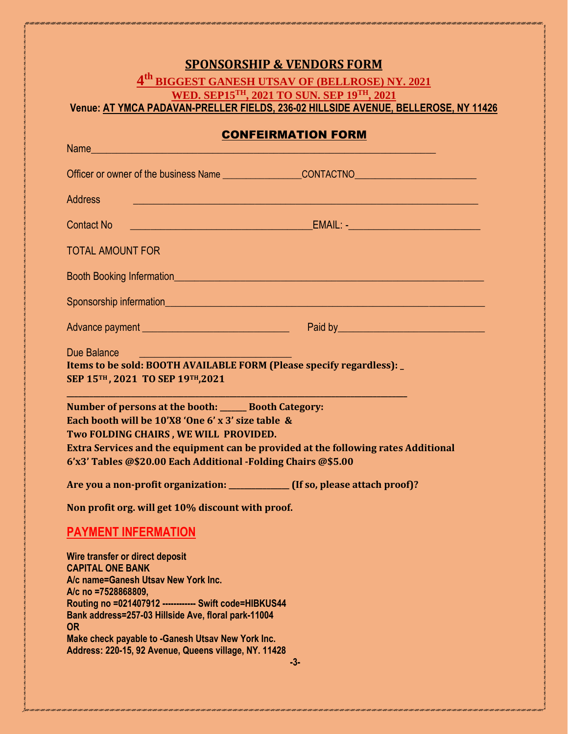# **SPONSORSHIP & VENDORS FORM**

## **4 th BIGGEST GANESH UTSAV OF (BELLROSE) NY. 2021 WED. SEP15TH, 2021 TO SUN. SEP 19TH, 2021 Venue: AT YMCA PADAVAN-PRELLER FIELDS, 236-02 HILLSIDE AVENUE, BELLEROSE, NY 11426**

## CONFEIRMATION FORM

| Name and the contract of the contract of the contract of the contract of the contract of the contract of the contract of the contract of the contract of the contract of the contract of the contract of the contract of the c                                                                               |                                                                                                                       |  |
|--------------------------------------------------------------------------------------------------------------------------------------------------------------------------------------------------------------------------------------------------------------------------------------------------------------|-----------------------------------------------------------------------------------------------------------------------|--|
|                                                                                                                                                                                                                                                                                                              |                                                                                                                       |  |
| <b>Address</b>                                                                                                                                                                                                                                                                                               | <u> 1980 - An Dùbhlachd ann an Dùbhlachd ann an Dùbhlachd ann an Dùbhlachd ann an Dùbhlachd ann an Dùbhlachd ann </u> |  |
| <b>Contact No</b>                                                                                                                                                                                                                                                                                            |                                                                                                                       |  |
| <b>TOTAL AMOUNT FOR</b>                                                                                                                                                                                                                                                                                      |                                                                                                                       |  |
|                                                                                                                                                                                                                                                                                                              |                                                                                                                       |  |
|                                                                                                                                                                                                                                                                                                              |                                                                                                                       |  |
| Advance payment <b>Advance</b> payment <b>Advance Paid by Paid by Paid by Paid by Paid by Paid by Paid by Paid by Paid by Paid by Paid by Paid by Paid by Paid by Paid by Paid by Paid by Paid by</b>                                                                                                        |                                                                                                                       |  |
| Due Balance<br>Items to be sold: BOOTH AVAILABLE FORM (Please specify regardless):<br>SEP 15TH, 2021 TO SEP 19TH, 2021                                                                                                                                                                                       |                                                                                                                       |  |
| Number of persons at the booth: ______ Booth Category:<br>Each booth will be 10'X8 'One 6' x 3' size table &<br>Two FOLDING CHAIRS, WE WILL PROVIDED.<br>Extra Services and the equipment can be provided at the following rates Additional<br>6'x3' Tables @\$20.00 Each Additional -Folding Chairs @\$5.00 |                                                                                                                       |  |
| Are you a non-profit organization: ____________ (If so, please attach proof)?                                                                                                                                                                                                                                |                                                                                                                       |  |
| Non profit org. will get 10% discount with proof.                                                                                                                                                                                                                                                            |                                                                                                                       |  |
| <b>PAYMENT INFERMATION</b>                                                                                                                                                                                                                                                                                   |                                                                                                                       |  |
| Wire transfer or direct deposit<br><b>CAPITAL ONE BANK</b><br>A/c name=Ganesh Utsav New York Inc.<br>A/c no =7528868809,<br>Routing no =021407912 ------------ Swift code=HIBKUS44<br>Bank address=257-03 Hillside Ave, floral park-11004<br><b>OR</b><br>Make check payable to -Ganesh Utsav New York Inc.  |                                                                                                                       |  |
| Address: 220-15, 92 Avenue, Queens village, NY. 11428                                                                                                                                                                                                                                                        | -3-                                                                                                                   |  |